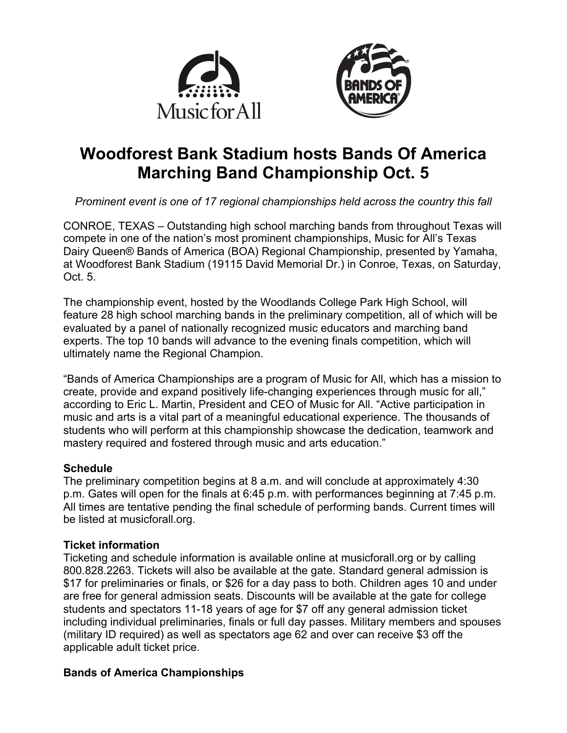



# **Woodforest Bank Stadium hosts Bands Of America Marching Band Championship Oct. 5**

*Prominent event is one of 17 regional championships held across the country this fall*

CONROE, TEXAS – Outstanding high school marching bands from throughout Texas will compete in one of the nation's most prominent championships, Music for All's Texas Dairy Queen® Bands of America (BOA) Regional Championship, presented by Yamaha, at Woodforest Bank Stadium (19115 David Memorial Dr.) in Conroe, Texas, on Saturday, Oct. 5

The championship event, hosted by the Woodlands College Park High School, will feature 28 high school marching bands in the preliminary competition, all of which will be evaluated by a panel of nationally recognized music educators and marching band experts. The top 10 bands will advance to the evening finals competition, which will ultimately name the Regional Champion.

"Bands of America Championships are a program of Music for All, which has a mission to create, provide and expand positively life-changing experiences through music for all," according to Eric L. Martin, President and CEO of Music for All. "Active participation in music and arts is a vital part of a meaningful educational experience. The thousands of students who will perform at this championship showcase the dedication, teamwork and mastery required and fostered through music and arts education."

## **Schedule**

The preliminary competition begins at 8 a.m. and will conclude at approximately 4:30 p.m. Gates will open for the finals at 6:45 p.m. with performances beginning at 7:45 p.m. All times are tentative pending the final schedule of performing bands. Current times will be listed at musicforall.org.

# **Ticket information**

Ticketing and schedule information is available online at musicforall.org or by calling 800.828.2263. Tickets will also be available at the gate. Standard general admission is \$17 for preliminaries or finals, or \$26 for a day pass to both. Children ages 10 and under are free for general admission seats. Discounts will be available at the gate for college students and spectators 11-18 years of age for \$7 off any general admission ticket including individual preliminaries, finals or full day passes. Military members and spouses (military ID required) as well as spectators age 62 and over can receive \$3 off the applicable adult ticket price.

# **Bands of America Championships**